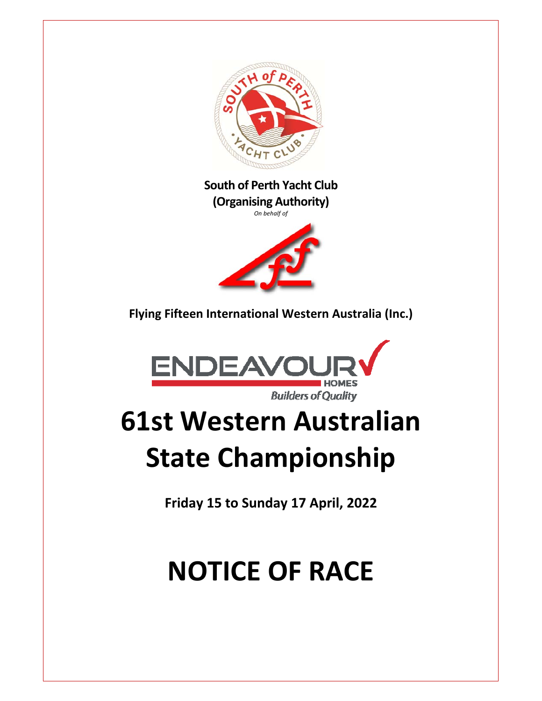

## **South of Perth Yacht Club (Organising Authority)**

*On behalf of* 



**Flying Fifteen International Western Australia (Inc.)** 



# **61st Western Australian State Championship**

**Friday 15 to Sunday 17 April, 2022**

# **NOTICE OF RACE**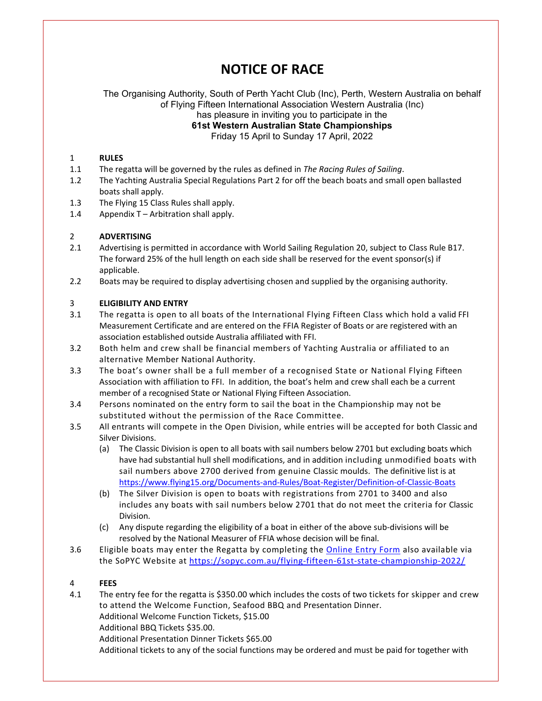# **NOTICE OF RACE**

The Organising Authority, South of Perth Yacht Club (Inc), Perth, Western Australia on behalf of Flying Fifteen International Association Western Australia (Inc) has pleasure in inviting you to participate in the **61st Western Australian State Championships** 

Friday 15 April to Sunday 17 April, 2022

#### 1 **RULES**

- 1.1 The regatta will be governed by the rules as defined in *The Racing Rules of Sailing*.
- 1.2 The Yachting Australia Special Regulations Part 2 for off the beach boats and small open ballasted boats shall apply.
- 1.3 The Flying 15 Class Rules shall apply.
- 1.4 Appendix T Arbitration shall apply.

#### 2 **ADVERTISING**

- 2.1 Advertising is permitted in accordance with World Sailing Regulation 20, subject to Class Rule B17. The forward 25% of the hull length on each side shall be reserved for the event sponsor(s) if applicable.
- 2.2 Boats may be required to display advertising chosen and supplied by the organising authority.

#### 3 **ELIGIBILITY AND ENTRY**

- 3.1 The regatta is open to all boats of the International Flying Fifteen Class which hold a valid FFI Measurement Certificate and are entered on the FFIA Register of Boats or are registered with an association established outside Australia affiliated with FFI.
- 3.2 Both helm and crew shall be financial members of Yachting Australia or affiliated to an alternative Member National Authority.
- 3.3 The boat's owner shall be a full member of a recognised State or National Flying Fifteen Association with affiliation to FFI. In addition, the boat's helm and crew shall each be a current member of a recognised State or National Flying Fifteen Association.
- 3.4 Persons nominated on the entry form to sail the boat in the Championship may not be substituted without the permission of the Race Committee.
- 3.5 All entrants will compete in the Open Division, while entries will be accepted for both Classic and Silver Divisions.
	- (a) The Classic Division is open to all boats with sail numbers below 2701 but excluding boats which have had substantial hull shell modifications, and in addition including unmodified boats with sail numbers above 2700 derived from genuine Classic moulds. The definitive list is at https://www.flying15.org/Documents‐and‐Rules/Boat‐Register/Definition‐of‐Classic‐Boats
	- (b) The Silver Division is open to boats with registrations from 2701 to 3400 and also includes any boats with sail numbers below 2701 that do not meet the criteria for Classic Division.
	- (c) Any dispute regarding the eligibility of a boat in either of the above sub‐divisions will be resolved by the National Measurer of FFIA whose decision will be final.
- 3.6 Eligible boats may enter the Regatta by completing the Online Entry Form also available via the SoPYC Website at https://sopyc.com.au/flying‐fifteen‐61st‐state‐championship‐2022/

#### 4 **FEES**

4.1 The entry fee for the regatta is \$350.00 which includes the costs of two tickets for skipper and crew to attend the Welcome Function, Seafood BBQ and Presentation Dinner. Additional Welcome Function Tickets, \$15.00

Additional BBQ Tickets \$35.00.

Additional Presentation Dinner Tickets \$65.00

Additional tickets to any of the social functions may be ordered and must be paid for together with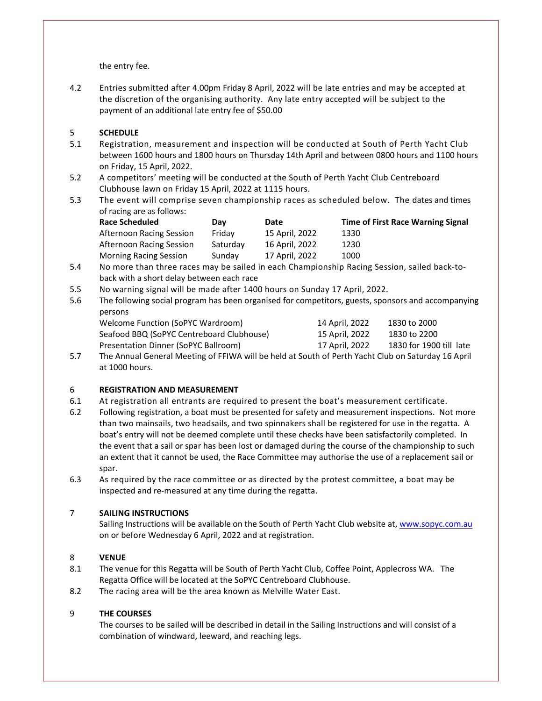the entry fee.

4.2 Entries submitted after 4.00pm Friday 8 April, 2022 will be late entries and may be accepted at the discretion of the organising authority. Any late entry accepted will be subject to the payment of an additional late entry fee of \$50.00

### 5 **SCHEDULE**

- 5.1 Registration, measurement and inspection will be conducted at South of Perth Yacht Club between 1600 hours and 1800 hours on Thursday 14th April and between 0800 hours and 1100 hours on Friday, 15 April, 2022.
- 5.2 A competitors' meeting will be conducted at the South of Perth Yacht Club Centreboard Clubhouse lawn on Friday 15 April, 2022 at 1115 hours.
- 5.3 The event will comprise seven championship races as scheduled below. The dates and times of racing are as follows:

| <b>Race Scheduled</b>         | Dav      | Date           | <b>Time of First Race Warning Signal</b> |
|-------------------------------|----------|----------------|------------------------------------------|
| Afternoon Racing Session      | Fridav   | 15 April, 2022 | 1330                                     |
| Afternoon Racing Session      | Saturdav | 16 April, 2022 | 1230                                     |
| <b>Morning Racing Session</b> | Sundav   | 17 April, 2022 | 1000                                     |

- 5.4 No more than three races may be sailed in each Championship Racing Session, sailed back‐to‐ back with a short delay between each race
- 5.5 No warning signal will be made after 1400 hours on Sunday 17 April, 2022.
- 5.6 The following social program has been organised for competitors, guests, sponsors and accompanying persons

| Welcome Function (SoPYC Wardroom)         | 14 April, 2022 | 1830 to 2000            |
|-------------------------------------------|----------------|-------------------------|
| Seafood BBQ (SoPYC Centreboard Clubhouse) | 15 April, 2022 | 1830 to 2200            |
| Presentation Dinner (SoPYC Ballroom)      | 17 April, 2022 | 1830 for 1900 till late |
|                                           |                |                         |

5.7 The Annual General Meeting of FFIWA will be held at South of Perth Yacht Club on Saturday 16 April at 1000 hours.

#### 6 **REGISTRATION AND MEASUREMENT**

- 6.1 At registration all entrants are required to present the boat's measurement certificate.
- 6.2 Following registration, a boat must be presented for safety and measurement inspections. Not more than two mainsails, two headsails, and two spinnakers shall be registered for use in the regatta. A boat's entry will not be deemed complete until these checks have been satisfactorily completed. In the event that a sail or spar has been lost or damaged during the course of the championship to such an extent that it cannot be used, the Race Committee may authorise the use of a replacement sail or spar.
- 6.3 As required by the race committee or as directed by the protest committee, a boat may be inspected and re‐measured at any time during the regatta.

#### 7 **SAILING INSTRUCTIONS**

Sailing Instructions will be available on the South of Perth Yacht Club website at, www.sopyc.com.au on or before Wednesday 6 April, 2022 and at registration.

#### 8 **VENUE**

- 8.1 The venue for this Regatta will be South of Perth Yacht Club, Coffee Point, Applecross WA. The Regatta Office will be located at the SoPYC Centreboard Clubhouse.
- 8.2 The racing area will be the area known as Melville Water East.

#### 9 **THE COURSES**

 The courses to be sailed will be described in detail in the Sailing Instructions and will consist of a combination of windward, leeward, and reaching legs.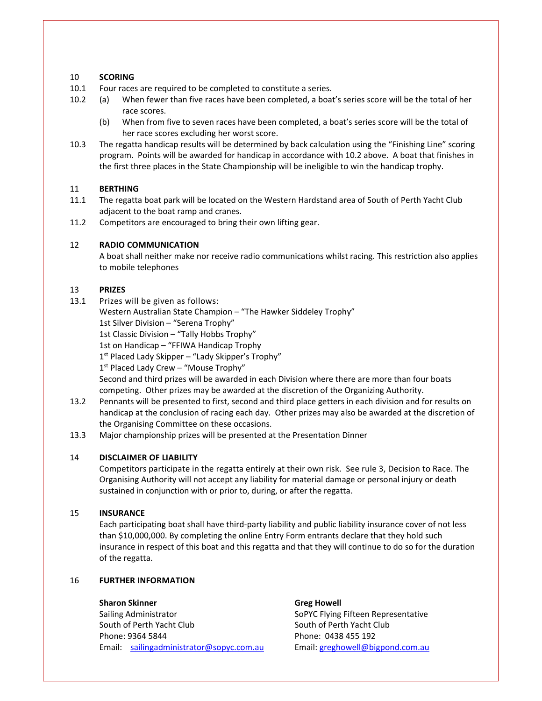#### 10 **SCORING**

- 10.1 Four races are required to be completed to constitute a series.
- 10.2 (a) When fewer than five races have been completed, a boat's series score will be the total of her race scores.
	- (b) When from five to seven races have been completed, a boat's series score will be the total of her race scores excluding her worst score.
- 10.3 The regatta handicap results will be determined by back calculation using the "Finishing Line" scoring program. Points will be awarded for handicap in accordance with 10.2 above. A boat that finishes in the first three places in the State Championship will be ineligible to win the handicap trophy.

#### 11 **BERTHING**

- 11.1 The regatta boat park will be located on the Western Hardstand area of South of Perth Yacht Club adjacent to the boat ramp and cranes.
- 11.2 Competitors are encouraged to bring their own lifting gear.

#### 12 **RADIO COMMUNICATION**

 A boat shall neither make nor receive radio communications whilst racing. This restriction also applies to mobile telephones

#### 13 **PRIZES**

13.1 Prizes will be given as follows:

Western Australian State Champion – "The Hawker Siddeley Trophy"

1st Silver Division – "Serena Trophy"

1st Classic Division – "Tally Hobbs Trophy"

1st on Handicap – "FFIWA Handicap Trophy

 $1<sup>st</sup>$  Placed Lady Skipper – "Lady Skipper's Trophy"

1<sup>st</sup> Placed Lady Crew - "Mouse Trophy"

 Second and third prizes will be awarded in each Division where there are more than four boats competing. Other prizes may be awarded at the discretion of the Organizing Authority.

- 13.2 Pennants will be presented to first, second and third place getters in each division and for results on handicap at the conclusion of racing each day. Other prizes may also be awarded at the discretion of the Organising Committee on these occasions.
- 13.3 Major championship prizes will be presented at the Presentation Dinner

#### 14 **DISCLAIMER OF LIABILITY**

 Competitors participate in the regatta entirely at their own risk. See rule 3, Decision to Race. The Organising Authority will not accept any liability for material damage or personal injury or death sustained in conjunction with or prior to, during, or after the regatta.

#### 15 **INSURANCE**

 Each participating boat shall have third‐party liability and public liability insurance cover of not less than \$10,000,000. By completing the online Entry Form entrants declare that they hold such insurance in respect of this boat and this regatta and that they will continue to do so for the duration of the regatta.

#### 16 **FURTHER INFORMATION**

#### **Sharon Skinner Greg Howell**

Sailing Administrator **SoPYC Flying Fifteen Representative** SoPYC Flying Fifteen Representative South of Perth Yacht Club South of Perth Yacht Club Phone: 9364 5844 Phone: 0438 455 192 Email: sailingadministrator@sopyc.com.au Email: greghowell@bigpond.com.au